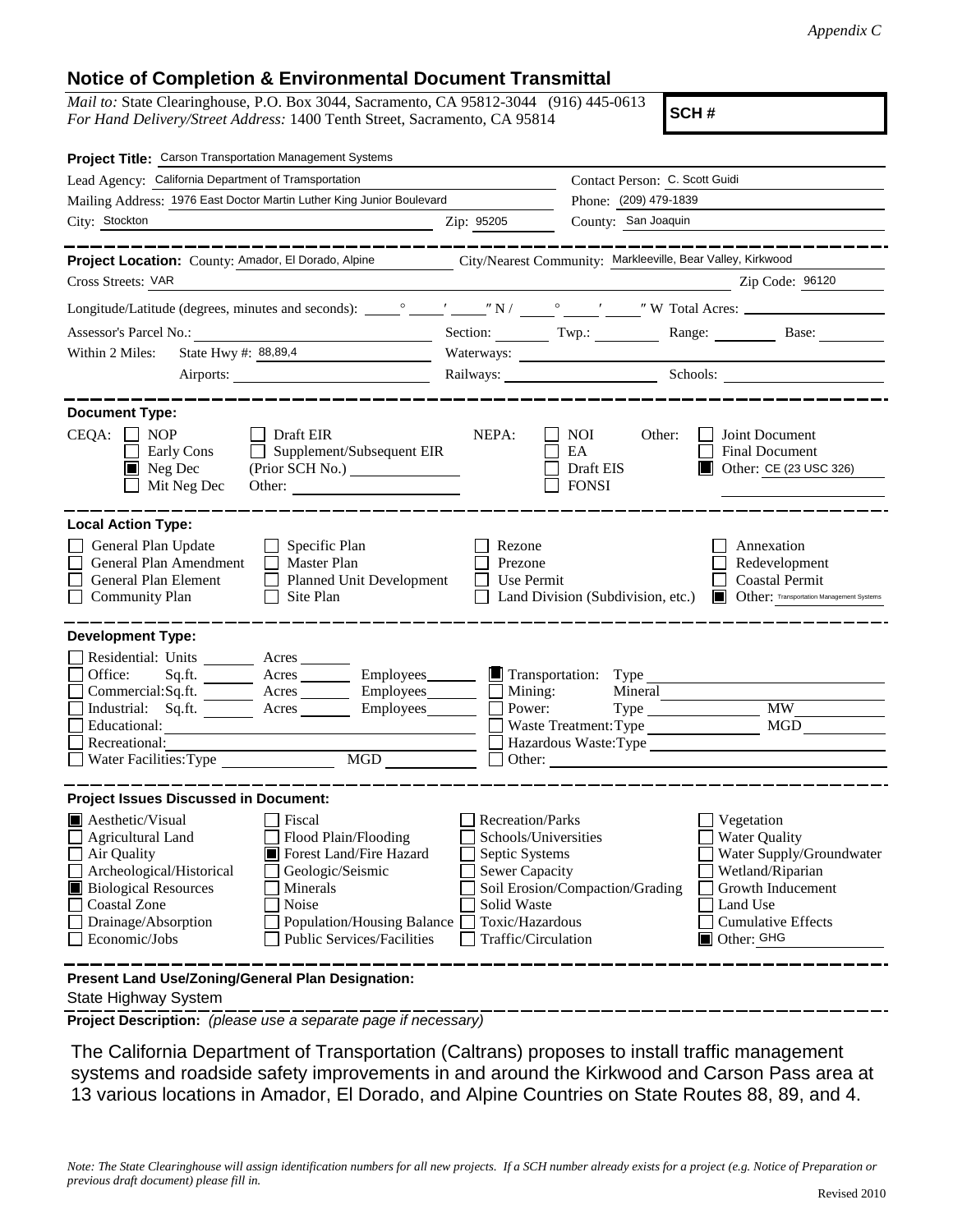## **Notice of Completion & Environmental Document Transmittal**

*Mail to:* State Clearinghouse, P.O. Box 3044, Sacramento, CA 95812-3044 (916) 445-0613 *For Hand Delivery/Street Address:* 1400 Tenth Street, Sacramento, CA 95814

**SCH #**

| Project Title: Carson Transportation Management Systems                                                                                                                                                                                                                                                                                                                              |                                                                                                                                              |                                                                              |                                                                                                                                                                |  |
|--------------------------------------------------------------------------------------------------------------------------------------------------------------------------------------------------------------------------------------------------------------------------------------------------------------------------------------------------------------------------------------|----------------------------------------------------------------------------------------------------------------------------------------------|------------------------------------------------------------------------------|----------------------------------------------------------------------------------------------------------------------------------------------------------------|--|
| Lead Agency: California Department of Tramsportation                                                                                                                                                                                                                                                                                                                                 |                                                                                                                                              | Contact Person: C. Scott Guidi                                               |                                                                                                                                                                |  |
| Mailing Address: 1976 East Doctor Martin Luther King Junior Boulevard                                                                                                                                                                                                                                                                                                                |                                                                                                                                              |                                                                              | Phone: (209) 479-1839                                                                                                                                          |  |
| City: Stockton                                                                                                                                                                                                                                                                                                                                                                       | Zip: 95205                                                                                                                                   |                                                                              | County: San Joaquin                                                                                                                                            |  |
|                                                                                                                                                                                                                                                                                                                                                                                      |                                                                                                                                              |                                                                              |                                                                                                                                                                |  |
| Project Location: County: Amador, El Dorado, Alpine                                                                                                                                                                                                                                                                                                                                  |                                                                                                                                              | City/Nearest Community: Markleeville, Bear Valley, Kirkwood                  |                                                                                                                                                                |  |
| Cross Streets: VAR                                                                                                                                                                                                                                                                                                                                                                   |                                                                                                                                              |                                                                              | Zip Code: 96120                                                                                                                                                |  |
|                                                                                                                                                                                                                                                                                                                                                                                      |                                                                                                                                              |                                                                              |                                                                                                                                                                |  |
| Assessor's Parcel No.:<br><u> 1989 - Johann Barbara, martxa alemaniar a</u>                                                                                                                                                                                                                                                                                                          |                                                                                                                                              |                                                                              | Section: Twp.: Range: Base: Base:                                                                                                                              |  |
| State Hwy #: 88,89,4<br>Within 2 Miles:                                                                                                                                                                                                                                                                                                                                              |                                                                                                                                              |                                                                              |                                                                                                                                                                |  |
| Airports:                                                                                                                                                                                                                                                                                                                                                                            |                                                                                                                                              |                                                                              | Railways: Schools: Schools:                                                                                                                                    |  |
| <b>Document Type:</b><br>$CEQA: \Box NOP$<br>$\Box$ Draft EIR<br>$\Box$<br>Supplement/Subsequent EIR<br>Early Cons<br>$\blacksquare$ Neg Dec<br>Mit Neg Dec                                                                                                                                                                                                                          | NEPA:                                                                                                                                        | <b>NOI</b><br>Other:<br>EA<br>Draft EIS<br><b>FONSI</b>                      | Joint Document<br>Final Document<br>Other: CE (23 USC 326)                                                                                                     |  |
| <b>Local Action Type:</b><br>General Plan Update<br>$\Box$ Specific Plan<br>General Plan Amendment<br>$\Box$ Master Plan<br>General Plan Element<br>Planned Unit Development<br><b>Community Plan</b><br>Site Plan<br>$\mathbf{1}$                                                                                                                                                   | Rezone<br>Prezone<br>Use Permit                                                                                                              | Land Division (Subdivision, etc.)                                            | Annexation<br>Redevelopment<br><b>Coastal Permit</b><br><b>Other:</b> Transportation Management Systems                                                        |  |
| <b>Development Type:</b>                                                                                                                                                                                                                                                                                                                                                             |                                                                                                                                              |                                                                              |                                                                                                                                                                |  |
| Residential: Units ________ Acres _____<br>Acres __________ Employees________<br>Office:<br>Sq.fit.<br>$Commercial:Sq.fit.$ Acres $\_\_\_\_\$ Employees $\_\_\_\_\$ Mining:<br>Industrial: Sq.ft. _______ Acres _______<br>Educational:<br>Recreational:<br>MGD<br>Water Facilities: Type                                                                                            |                                                                                                                                              | Transportation: Type<br>Mineral<br>Power:<br>Waste Treatment: Type<br>Other: | <b>MW</b><br><b>MGD</b><br>Hazardous Waste:Type                                                                                                                |  |
| <b>Project Issues Discussed in Document:</b>                                                                                                                                                                                                                                                                                                                                         |                                                                                                                                              |                                                                              |                                                                                                                                                                |  |
| $\blacksquare$ Aesthetic/Visual<br>Fiscal<br>Flood Plain/Flooding<br><b>Agricultural Land</b><br>Air Quality<br>Forest Land/Fire Hazard<br>Archeological/Historical<br>Geologic/Seismic<br><b>Biological Resources</b><br>Minerals<br><b>Coastal Zone</b><br>Noise<br>Drainage/Absorption<br><b>Population/Housing Balance</b><br>Economic/Jobs<br><b>Public Services/Facilities</b> | <b>Recreation/Parks</b><br>Schools/Universities<br>Septic Systems<br>Sewer Capacity<br>Solid Waste<br>Toxic/Hazardous<br>Traffic/Circulation | Soil Erosion/Compaction/Grading                                              | Vegetation<br><b>Water Quality</b><br>Water Supply/Groundwater<br>Wetland/Riparian<br>Growth Inducement<br>Land Use<br><b>Cumulative Effects</b><br>Other: GHG |  |
| Present Land Use/Zoning/General Plan Designation:                                                                                                                                                                                                                                                                                                                                    |                                                                                                                                              |                                                                              |                                                                                                                                                                |  |

State Highway System

**Project Description:** *(please use a separate page if necessary)*

 The California Department of Transportation (Caltrans) proposes to install traffic management systems and roadside safety improvements in and around the Kirkwood and Carson Pass area at 13 various locations in Amador, El Dorado, and Alpine Countries on State Routes 88, 89, and 4.